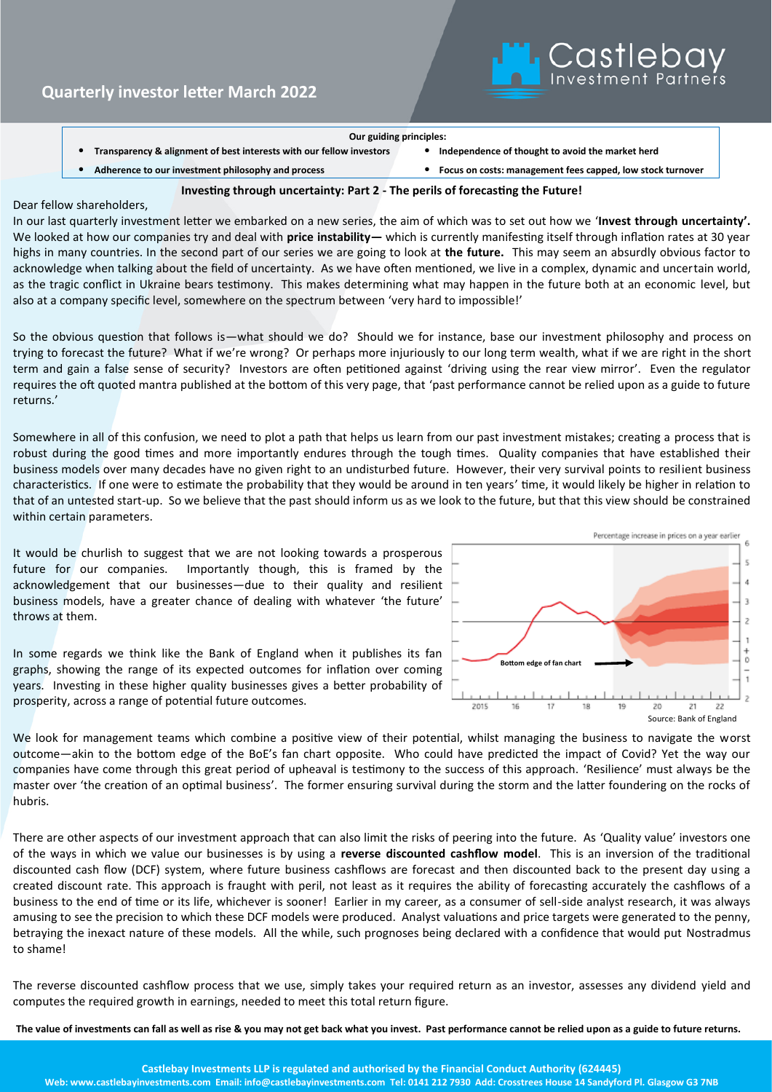

## **Our guiding principles:**

• **Transparency & alignment of best interests with our fellow investors** • **Independence of thought to avoid the market herd**

• **Adherence to our investment philosophy and process** • **Focus on costs: management fees capped, low stock turnover**

## **Investing through uncertainty: Part 2 - The perils of forecasting the Future!**

## Dear fellow shareholders,

In our last quarterly investment letter we embarked on a new series, the aim of which was to set out how we '**Invest through uncertainty'.**  We looked at how our companies try and deal with **price instability—** which is currently manifesting itself through inflation rates at 30 year highs in many countries. In the second part of our series we are going to look at **the future.** This may seem an absurdly obvious factor to acknowledge when talking about the field of uncertainty. As we have often mentioned, we live in a complex, dynamic and uncertain world, as the tragic conflict in Ukraine bears testimony. This makes determining what may happen in the future both at an economic level, but also at a company specific level, somewhere on the spectrum between 'very hard to impossible!'

So the obvious question that follows is—what should we do? Should we for instance, base our investment philosophy and process on trying to forecast the future? What if we're wrong? Or perhaps more injuriously to our long term wealth, what if we are right in the short term and gain a false sense of security? Investors are often petitioned against 'driving using the rear view mirror'. Even the regulator requires the oft quoted mantra published at the bottom of this very page, that 'past performance cannot be relied upon as a guide to future returns.'

Somewhere in all of this confusion, we need to plot a path that helps us learn from our past investment mistakes; creating a process that is robust during the good times and more importantly endures through the tough times. Quality companies that have established their business models over many decades have no given right to an undisturbed future. However, their very survival points to resilient business characteristics. If one were to estimate the probability that they would be around in ten years' time, it would likely be higher in relation to that of an untested start-up. So we believe that the past should inform us as we look to the future, but that this view should be constrained within certain parameters.

It would be churlish to suggest that we are not looking towards a prosperous future for our companies. Importantly though, this is framed by the acknowledgement that our businesses—due to their quality and resilient business models, have a greater chance of dealing with whatever 'the future' throws at them.

In some regards we think like the Bank of England when it publishes its fan graphs, showing the range of its expected outcomes for inflation over coming years. Investing in these higher quality businesses gives a better probability of prosperity, across a range of potential future outcomes.



We look for management teams which combine a positive view of their potential, whilst managing the business to navigate the worst outcome—akin to the bottom edge of the BoE's fan chart opposite. Who could have predicted the impact of Covid? Yet the way our companies have come through this great period of upheaval is testimony to the success of this approach. 'Resilience' must always be the master over 'the creation of an optimal business'. The former ensuring survival during the storm and the latter foundering on the rocks of hubris.

There are other aspects of our investment approach that can also limit the risks of peering into the future. As 'Quality value' investors one of the ways in which we value our businesses is by using a **reverse discounted cashflow model**. This is an inversion of the traditional discounted cash flow (DCF) system, where future business cashflows are forecast and then discounted back to the present day using a created discount rate. This approach is fraught with peril, not least as it requires the ability of forecasting accurately the cashflows of a business to the end of time or its life, whichever is sooner! Earlier in my career, as a consumer of sell-side analyst research, it was always amusing to see the precision to which these DCF models were produced. Analyst valuations and price targets were generated to the penny, betraying the inexact nature of these models. All the while, such prognoses being declared with a confidence that would put Nostradmus to shame!

The reverse discounted cashflow process that we use, simply takes your required return as an investor, assesses any dividend yield and computes the required growth in earnings, needed to meet this total return figure.

**The value of investments can fall as well as rise & you may not get back what you invest. Past performance cannot be relied upon as a guide to future returns.**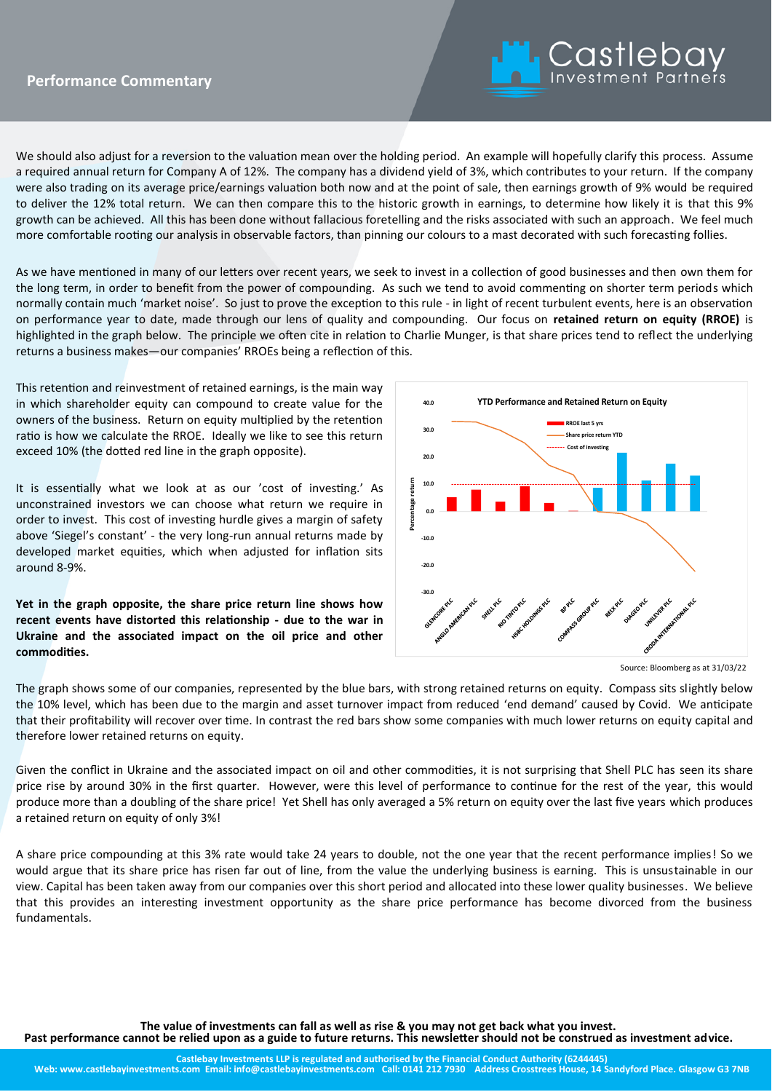

We should also adjust for a reversion to the valuation mean over the holding period. An example will hopefully clarify this process. Assume a required annual return for Company A of 12%. The company has a dividend yield of 3%, which contributes to your return. If the company were also trading on its average price/earnings valuation both now and at the point of sale, then earnings growth of 9% would be required to deliver the 12% total return. We can then compare this to the historic growth in earnings, to determine how likely it is that this 9% growth can be achieved. All this has been done without fallacious foretelling and the risks associated with such an approach. We feel much more comfortable rooting our analysis in observable factors, than pinning our colours to a mast decorated with such forecasting follies.

As we have mentioned in many of our letters over recent years, we seek to invest in a collection of good businesses and then own them for the long term, in order to benefit from the power of compounding. As such we tend to avoid commenting on shorter term periods which normally contain much 'market noise'. So just to prove the exception to this rule - in light of recent turbulent events, here is an observation on performance year to date, made through our lens of quality and compounding. Our focus on **retained return on equity (RROE)** is highlighted in the graph below. The principle we often cite in relation to Charlie Munger, is that share prices tend to reflect the underlying returns a business makes—our companies' RROEs being a reflection of this.

This retention and reinvestment of retained earnings, is the main way in which shareholder equity can compound to create value for the owners of the business. Return on equity multiplied by the retention ratio is how we calculate the RROE. Ideally we like to see this return exceed 10% (the dotted red line in the graph opposite).

It is essentially what we look at as our 'cost of investing.' As unconstrained investors we can choose what return we require in order to invest. This cost of investing hurdle gives a margin of safety above 'Siegel's constant' - the very long-run annual returns made by developed market equities, which when adjusted for inflation sits around 8-9%.

**Yet in the graph opposite, the share price return line shows how recent events have distorted this relationship - due to the war in Ukraine and the associated impact on the oil price and other commodities.** 



Source: Bloomberg as at 31/03/22

The graph shows some of our companies, represented by the blue bars, with strong retained returns on equity. Compass sits slightly below the 10% level, which has been due to the margin and asset turnover impact from reduced 'end demand' caused by Covid. We anticipate that their profitability will recover over time. In contrast the red bars show some companies with much lower returns on equity capital and therefore lower retained returns on equity.

Given the conflict in Ukraine and the associated impact on oil and other commodities, it is not surprising that Shell PLC has seen its share price rise by around 30% in the first quarter. However, were this level of performance to continue for the rest of the year, this would produce more than a doubling of the share price! Yet Shell has only averaged a 5% return on equity over the last five years which produces a retained return on equity of only 3%!

A share price compounding at this 3% rate would take 24 years to double, not the one year that the recent performance implies! So we would argue that its share price has risen far out of line, from the value the underlying business is earning. This is unsustainable in our view. Capital has been taken away from our companies over this short period and allocated into these lower quality businesses. We believe that this provides an interesting investment opportunity as the share price performance has become divorced from the business fundamentals.

**The value of investments can fall as well as rise & you may not get back what you invest.** 

**Past performance cannot be relied upon as a guide to future returns. This newsletter should not be construed as investment advice.**